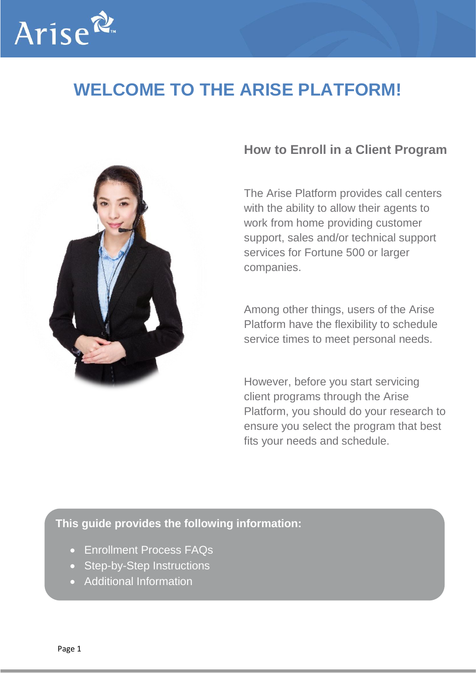

## **WELCOME TO THE ARISE PLATFORM!**



### **How to Enroll in a Client Program**

The Arise Platform provides call centers with the ability to allow their agents to work from home providing customer support, sales and/or technical support services for Fortune 500 or larger companies.

Among other things, users of the Arise Platform have the flexibility to schedule service times to meet personal needs.

However, before you start servicing client programs through the Arise Platform, you should do your research to ensure you select the program that best fits your needs and schedule.

#### **This guide provides the following information:**

- Enrollment Process FAQs
- Step-by-Step Instructions
- Additional Information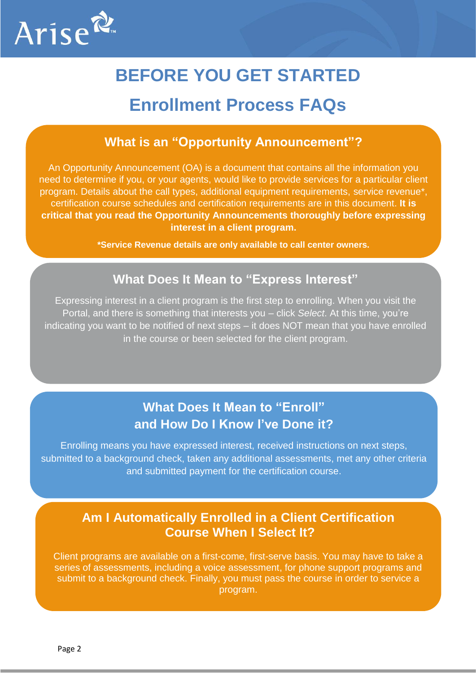

# **BEFORE YOU GET STARTED**

### **Enrollment Process FAQs**

#### **What is an "Opportunity Announcement"?**

An Opportunity Announcement (OA) is a document that contains all the information you need to determine if you, or your agents, would like to provide services for a particular client program. Details about the call types, additional equipment requirements, service revenue\*, certification course schedules and certification requirements are in this document. **It is critical that you read the Opportunity Announcements thoroughly before expressing interest in a client program.**

**\*Service Revenue details are only available to call center owners.**

#### **What Does It Mean to "Express Interest"**

Expressing interest in a client program is the first step to enrolling. When you visit the Portal, and there is something that interests you – click *Select*. At this time, you're indicating you want to be notified of next steps – it does NOT mean that you have enrolled in the course or been selected for the client program.

### **What Does It Mean to "Enroll" and How Do I Know I've Done it?**

Enrolling means you have expressed interest, received instructions on next steps, submitted to a background check, taken any additional assessments, met any other criteria and submitted payment for the certification course.

#### **Am I Automatically Enrolled in a Client Certification Course When I Select It?**

Client programs are available on a first-come, first-serve basis. You may have to take a series of assessments, including a voice assessment, for phone support programs and submit to a background check. Finally, you must pass the course in order to service a program.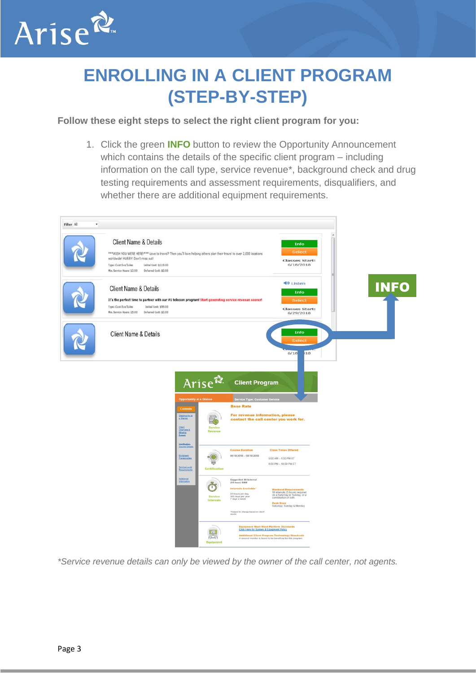

## **ENROLLING IN A CLIENT PROGRAM (STEP-BY-STEP)**

#### **Follow these eight steps to select the right client program for you:**

1. Click the green **INFO** button to review the Opportunity Announcement which contains the details of the specific client program – including information on the call type, service revenue\*, background check and drug testing requirements and assessment requirements, disqualifiers, and whether there are additional equipment requirements.



*\*Service revenue details can only be viewed by the owner of the call center, not agents.*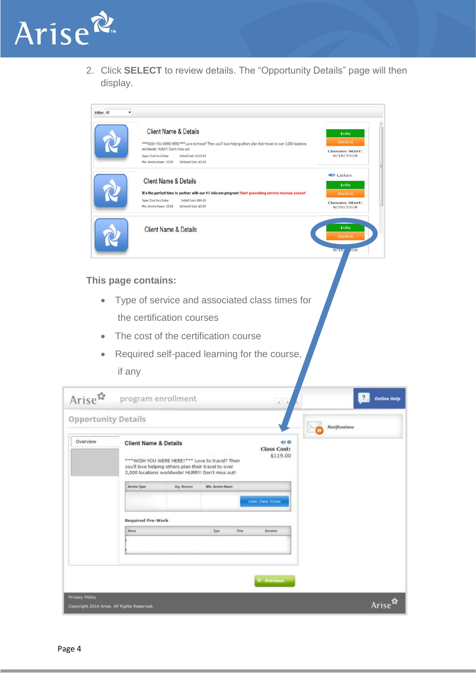

2. Click **SELECT** to review details. The "Opportunity Details" page will then display.

| Filter All          | ٠                                                                                                                                                                                                                                                                                      |                                                                          |
|---------------------|----------------------------------------------------------------------------------------------------------------------------------------------------------------------------------------------------------------------------------------------------------------------------------------|--------------------------------------------------------------------------|
|                     | Client Name & Details<br>***WISH YOU WERE HERE!*** Love to travel? Then you'll love helping others plan their travel to over 2,000 locations<br>worldwide! HURRY! Don't miss out!<br>Initial Cost: \$119.00<br>Type: Cust Svs/Sales<br>Min. Service Hours: 10.00 Deferred Cost: \$0.00 | Info<br><b>Select</b><br><b>Classes Start:</b><br>6/18/2018              |
|                     | Client Name & Details<br>It's the perfect time to partner with our #1 telecom program! Start generating service revenue sooner!<br>Type: Cust Svs/Sales<br>Initial Cost: \$99.00<br>Min. Service Hours: 15.00<br>Deferred Cost: \$0.00                                                 | <b>40 Listen</b><br>Info<br>Select<br><b>Classes Start:</b><br>6/29/2018 |
|                     | <b>Client Name &amp; Details</b>                                                                                                                                                                                                                                                       | Info<br><b>Select</b><br>6/187<br>$\overline{18}$                        |
|                     | This page contains:                                                                                                                                                                                                                                                                    |                                                                          |
| $\bullet$           | Type of service and associated class times for                                                                                                                                                                                                                                         |                                                                          |
|                     | the certification courses                                                                                                                                                                                                                                                              |                                                                          |
| $\bullet$           | The cost of the certification course                                                                                                                                                                                                                                                   |                                                                          |
| $\bullet$           | Required self-paced learning for the course,<br>if any                                                                                                                                                                                                                                 |                                                                          |
| Arise $\mathbb{R}$  | program enrollment                                                                                                                                                                                                                                                                     | $\overline{\mathcal{E}}$<br><b>Online Help</b>                           |
| Opportunity Details |                                                                                                                                                                                                                                                                                        | Notifications                                                            |
| Overview            | 40 O<br><b>Client Name &amp; Details</b><br>Class Cost:<br>\$119.00<br>*** WISH YOU WERE HERE!*** Love to travel? Then<br>you'll love helping others plan their travel to over<br>2,000 locations worldwide! HURRY! Don't miss out!                                                    |                                                                          |
|                     | Arg. Revenue<br>Min. Service Moura:<br>Service Type:<br>view class times.                                                                                                                                                                                                              |                                                                          |
|                     | <b>Required Pre-Work</b>                                                                                                                                                                                                                                                               |                                                                          |
|                     | Time<br>Alume<br>Type<br>Dunation                                                                                                                                                                                                                                                      |                                                                          |
|                     |                                                                                                                                                                                                                                                                                        |                                                                          |
|                     | <b><i>C. Previous</i></b>                                                                                                                                                                                                                                                              |                                                                          |
| <b>Ivacy Policy</b> |                                                                                                                                                                                                                                                                                        | Arise <sup>n</sup>                                                       |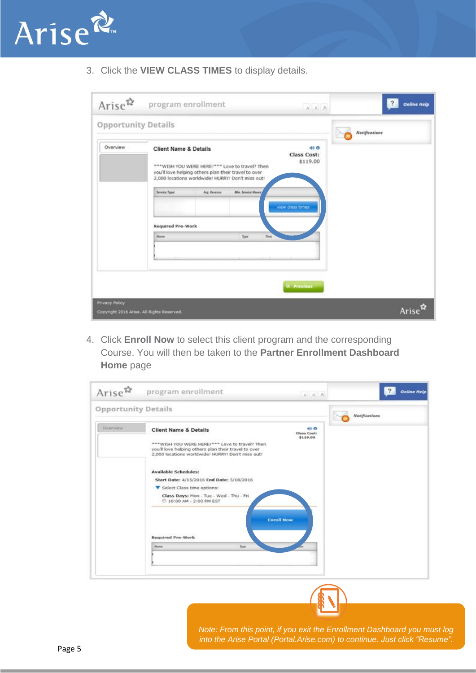

3. Click the **VIEW CLASS TIMES** to display details.

| Arise $\mathbb{R}$                                                  | program enrollment                                                                                                                                                                                                                                                                                           | $A \quad A \quad A$                                 | <b>Online Help</b> |
|---------------------------------------------------------------------|--------------------------------------------------------------------------------------------------------------------------------------------------------------------------------------------------------------------------------------------------------------------------------------------------------------|-----------------------------------------------------|--------------------|
| <b>Opportunity Details</b>                                          |                                                                                                                                                                                                                                                                                                              |                                                     | Natifications      |
| Overview                                                            | <b>Client Name &amp; Details</b><br>*** WISH YOU WERE HERE!*** Love to travel? Then<br>you'll love helping others plan their travel to over<br>2,000 locations worldwide! HURRY! Don't miss out!<br>Min. Service Moura<br>Service Fype:<br>Arg. Revenue<br><b>Required Pre-Work</b><br>Alame<br>Time<br>Type | 40 O<br>Class Cost:<br>\$119.00<br>view class times |                    |
|                                                                     |                                                                                                                                                                                                                                                                                                              | <b><i>OC Previous</i></b>                           |                    |
| <b>Privacy Policy</b><br>Copyright 2016 Arise. All Rights Reserved. |                                                                                                                                                                                                                                                                                                              |                                                     | Arise              |

4. Click **Enroll Now** to select this client program and the corresponding Course. You will then be taken to the **Partner Enrollment Dashboard Home** page

| $\text{Arise}^{\mathcal{R}}$ | program enrollment                                                                                                                       | AAA                             | <b>Online Help</b> |
|------------------------------|------------------------------------------------------------------------------------------------------------------------------------------|---------------------------------|--------------------|
| <b>Opportunity Details</b>   |                                                                                                                                          |                                 | Natifications      |
| Overview                     | <b>Client Name &amp; Details</b><br>*** WISH YOU WERE HERE!*** Love to travel? Then                                                      | 40 O<br>Class Cost:<br>\$119.00 |                    |
|                              | you'll love helping others plan their travel to over<br>2,000 locations worldwide! HURRY! Don't miss out!<br><b>Available Schedules:</b> |                                 |                    |
|                              | Start Date: 4/15/2016 End Date: 5/18/2016<br>Select Class time options:                                                                  |                                 |                    |
|                              | Class Days: Mon - Tue - Wed - Thu - Fri<br>2 10:00 AM - 2:00 PM EST<br><b>Enroll Now</b>                                                 |                                 |                    |
|                              | <b>Required Pre-Work</b>                                                                                                                 |                                 |                    |
|                              | Name<br><b>Type:</b>                                                                                                                     |                                 |                    |
|                              |                                                                                                                                          |                                 |                    |
|                              |                                                                                                                                          |                                 |                    |

*Note: From this point, if you exit the Enrollment Dashboard you must log into the Arise Portal (Portal.Arise.com) to continue. Just click "Resume".*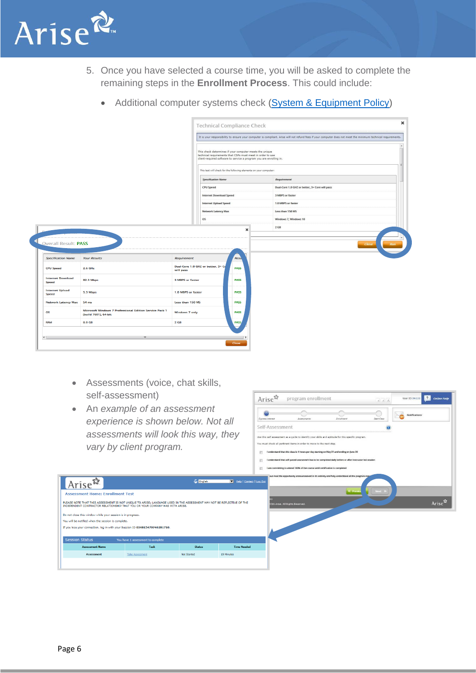

- 5. Once you have selected a course time, you will be asked to complete the remaining steps in the **Enrollment Process**. This could include:
	- Additional computer systems check [\(System & Equipment Policy\)](http://www.ariseworkfromhome.com/equipment/)

|                                                   |                                                                                 |                                                                                                                                                                                              | It is your responsibility to ensure your computer is compliant. Arise will not refund fees if your computer does not meet the minimum technical requirements. |
|---------------------------------------------------|---------------------------------------------------------------------------------|----------------------------------------------------------------------------------------------------------------------------------------------------------------------------------------------|---------------------------------------------------------------------------------------------------------------------------------------------------------------|
|                                                   |                                                                                 | This check determines if your computer meets the unique<br>technical requirements that CSPs must meet in order to use<br>client-required software to service a program you are enrolling in. |                                                                                                                                                               |
|                                                   |                                                                                 | This test will check for the following elements on your computer:                                                                                                                            |                                                                                                                                                               |
|                                                   |                                                                                 | <b>Specification Name</b>                                                                                                                                                                    | <b>Requirement</b>                                                                                                                                            |
|                                                   |                                                                                 | <b>CPU Speed</b>                                                                                                                                                                             | Dual-Core 1.0 GHZ or better, 3+ Core will pass                                                                                                                |
|                                                   |                                                                                 | <b>Internet Download Speed</b>                                                                                                                                                               | 3 MBPS or faster                                                                                                                                              |
|                                                   |                                                                                 | <b>Internet Upload Speed</b>                                                                                                                                                                 | 1.0 MBPS or faster                                                                                                                                            |
|                                                   |                                                                                 | Network Latency Max                                                                                                                                                                          | Less than 150 MS                                                                                                                                              |
|                                                   |                                                                                 | os                                                                                                                                                                                           | Windows 7, Windows 10                                                                                                                                         |
|                                                   |                                                                                 |                                                                                                                                                                                              |                                                                                                                                                               |
|                                                   |                                                                                 | $\boldsymbol{\times}$                                                                                                                                                                        | $2$ GB                                                                                                                                                        |
| Overall Result: PASS<br><b>Specification Name</b> | <b>Your Results</b>                                                             | <b>Resu</b><br><b>Requirement</b>                                                                                                                                                            | Close<br><b>Run</b>                                                                                                                                           |
| <b>CPU Speed</b>                                  | $2.6$ GHz                                                                       | Dual-Core 1.0 GHZ or better, 3+ Co<br><b>PASS</b><br>will pass                                                                                                                               |                                                                                                                                                               |
| <b>Internet Download</b><br><b>Speed</b>          | <b>82.3 Mbps</b>                                                                | 3 MBPS or faster<br><b>PASS</b>                                                                                                                                                              |                                                                                                                                                               |
| <b>Internet Upload</b><br><b>Speed</b>            | 5.3 Mbps                                                                        | 1.0 MBPS or faster<br><b>PASS</b>                                                                                                                                                            |                                                                                                                                                               |
| <b>Network Latency Max</b>                        | 54 ms                                                                           | Less than 150 MS<br><b>PASS</b>                                                                                                                                                              |                                                                                                                                                               |
| <b>OS</b>                                         | Microsoft Windows 7 Professional Edition Service Pack 1<br>(build 7601), 64-bit | Windows 7 only<br><b>PASS</b>                                                                                                                                                                |                                                                                                                                                               |
| <b>RAM</b>                                        | 8.0 GB                                                                          | 2 <sub>GB</sub><br><b>PASS</b>                                                                                                                                                               |                                                                                                                                                               |

- Assessments (voice, chat skills, self-assessment)
- An *example of an assessment experience is shown below. Not all assessments will look this way, they vary by client program.*

 $T = 1$ 

**G** English

-<br>Not Started

 $10M$ 



Arise<sup>2</sup>

n Status Assessment Name

e: Enrollment Test

If you lose your connection, log in with your Session ID 034815479746281710.

e this window while your session is in progress. You will be notified when the session is complete.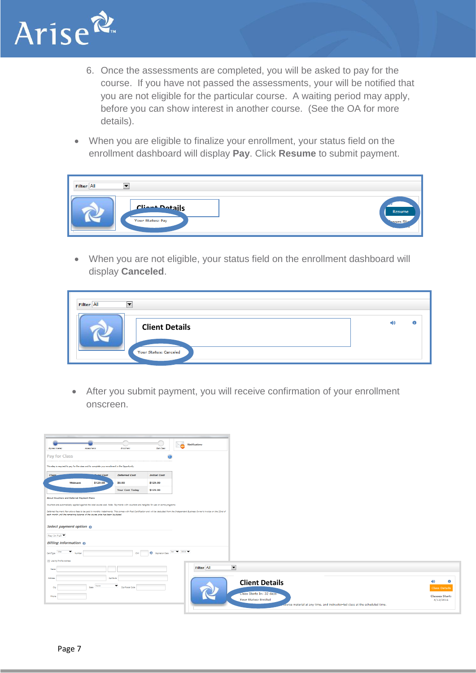

- 6. Once the assessments are completed, you will be asked to pay for the course. If you have not passed the assessments, your will be notified that you are not eligible for the particular course. A waiting period may apply, before you can show interest in another course. (See the OA for more details).
- When you are eligible to finalize your enrollment, your status field on the enrollment dashboard will display **Pay**. Click **Resume** to submit payment.

| ▼<br>Filter All         |                     |
|-------------------------|---------------------|
| Client Dotails          | Resume              |
| <b>Your Status: Pay</b> | <b>Tasses Stags</b> |

• When you are not eligible, your status field on the enrollment dashboard will display **Canceled**.

| Filter All | -                            |  |
|------------|------------------------------|--|
|            | <b>Client Details</b>        |  |
|            | <b>Your Status: Canceled</b> |  |

• After you submit payment, you will receive confirmation of your enrollment onscreen.

| <b>Express Interest</b>          |                                                  | Assessments                                                                                    | <b><i><u>Swallment</u></i></b>                                                                                                          | <b>Start Class</b>          | <b>Notifications</b>                                                                                                                                                                       |                              |                          |  |                                                                              |  |  |           |                       |
|----------------------------------|--------------------------------------------------|------------------------------------------------------------------------------------------------|-----------------------------------------------------------------------------------------------------------------------------------------|-----------------------------|--------------------------------------------------------------------------------------------------------------------------------------------------------------------------------------------|------------------------------|--------------------------|--|------------------------------------------------------------------------------|--|--|-----------|-----------------------|
|                                  | Pay for Class                                    |                                                                                                |                                                                                                                                         | $\bigcirc$                  |                                                                                                                                                                                            |                              |                          |  |                                                                              |  |  |           |                       |
|                                  |                                                  | This step is required to pay for the class and to complete your enrollment in the Opportunity. |                                                                                                                                         |                             |                                                                                                                                                                                            |                              |                          |  |                                                                              |  |  |           |                       |
| <b>Class</b>                     |                                                  | <b>Mal</b> Cost                                                                                | <b>Deferred Cost</b>                                                                                                                    | <b>Initial Cost</b>         |                                                                                                                                                                                            |                              |                          |  |                                                                              |  |  |           |                       |
|                                  | Webcast                                          | \$129.00                                                                                       | \$0.00                                                                                                                                  | \$129.00                    |                                                                                                                                                                                            |                              |                          |  |                                                                              |  |  |           |                       |
|                                  |                                                  |                                                                                                | <b>Your Cost Today</b>                                                                                                                  | \$129.00                    |                                                                                                                                                                                            |                              |                          |  |                                                                              |  |  |           |                       |
|                                  | <b>About Vouchers and Deferred Payment Plans</b> |                                                                                                |                                                                                                                                         |                             |                                                                                                                                                                                            |                              |                          |  |                                                                              |  |  |           |                       |
|                                  |                                                  |                                                                                                | Vouchers are automatically applied against the total course cost. Note: Payments with vouchers are ineligible for use on some programs. |                             | Deferred Payment Plan allows fees to be paid in monthly installments. This comes with Post Certification and will be deducted from the Independent Business Owner's invoice on the 22nd of |                              |                          |  |                                                                              |  |  |           |                       |
|                                  |                                                  | each month until the remaining balance of the course price has been liquidated.                |                                                                                                                                         |                             |                                                                                                                                                                                            |                              |                          |  |                                                                              |  |  |           |                       |
|                                  | Select payment option                            |                                                                                                |                                                                                                                                         |                             |                                                                                                                                                                                            |                              |                          |  |                                                                              |  |  |           |                       |
| Pay In Full $\blacktriangledown$ |                                                  |                                                                                                |                                                                                                                                         |                             |                                                                                                                                                                                            |                              |                          |  |                                                                              |  |  |           |                       |
|                                  | <b>Billing Information</b>                       |                                                                                                |                                                                                                                                         |                             |                                                                                                                                                                                            |                              |                          |  |                                                                              |  |  |           |                       |
| Card Type                        | $\overline{\phantom{a}}$ Number                  |                                                                                                | <b>CVV</b>                                                                                                                              | D Expiration Date 1m V 2016 |                                                                                                                                                                                            |                              |                          |  |                                                                              |  |  |           |                       |
| Use My Profile Address           |                                                  |                                                                                                |                                                                                                                                         |                             |                                                                                                                                                                                            |                              |                          |  |                                                                              |  |  |           |                       |
| Name                             |                                                  |                                                                                                |                                                                                                                                         |                             | Filter All                                                                                                                                                                                 | $\overline{\phantom{a}}$     |                          |  |                                                                              |  |  |           |                       |
| Address                          |                                                  |                                                                                                | Apt/Suite                                                                                                                               |                             |                                                                                                                                                                                            |                              |                          |  |                                                                              |  |  |           | $\bullet$             |
| City                             |                                                  | None<br>State                                                                                  | $\overline{z}$ Zip/Postal Code                                                                                                          |                             |                                                                                                                                                                                            |                              | <b>Client Details</b>    |  |                                                                              |  |  |           | <b>Class Details</b>  |
| Phone                            |                                                  |                                                                                                |                                                                                                                                         |                             |                                                                                                                                                                                            |                              | Class Starts In: 32 days |  |                                                                              |  |  |           | <b>Classes Start:</b> |
|                                  |                                                  |                                                                                                |                                                                                                                                         |                             |                                                                                                                                                                                            | <b>Your Status: Enrolled</b> |                          |  | course material at any time, and instructor-led class at the scheduled time. |  |  | 4/12/2016 |                       |
|                                  |                                                  |                                                                                                |                                                                                                                                         |                             |                                                                                                                                                                                            |                              |                          |  |                                                                              |  |  |           |                       |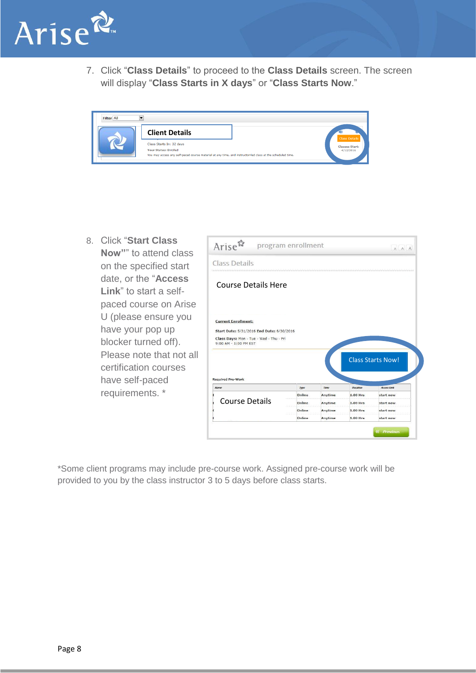

7. Click "**Class Details**" to proceed to the **Class Details** screen. The screen will display "**Class Starts in X days**" or "**Class Starts Now**."

| Filter All | IV.                                                                                                                                                                    |                                    |
|------------|------------------------------------------------------------------------------------------------------------------------------------------------------------------------|------------------------------------|
|            | <b>Client Details</b>                                                                                                                                                  | <b>Class Details</b>               |
|            | Class Starts In: 32 days<br><b>Your Status: Enrolled</b><br>You may access any self-paced course material at any time, and instructor-led class at the scheduled time. | <b>Classes Start:</b><br>4/12/2016 |

8. Click "**Start Class Now"**" to attend class on the specified start date, or the "**Access Link**" to start a selfpaced course on Arise U (please ensure you have your pop up blocker turned off). Please note that not all certification courses have self-paced requirements. \*

| Arise <sup>2</sup>                                                                                                                          |                  |                    |                          |                          |
|---------------------------------------------------------------------------------------------------------------------------------------------|------------------|--------------------|--------------------------|--------------------------|
| <b>Class Details</b>                                                                                                                        |                  |                    |                          |                          |
| <b>Course Details Here</b>                                                                                                                  |                  |                    |                          |                          |
|                                                                                                                                             |                  |                    |                          |                          |
| <b>Current Enrollment:</b><br>Start Date: 5/31/2016 End Date: 6/30/2016<br>Class Days: Mon - Tue - Wed - Thu - Fri<br>9:00 AM - 1:00 PM EST |                  |                    |                          |                          |
| <b>Required Pre-Work</b>                                                                                                                    |                  |                    |                          | <b>Class Starts Now!</b> |
| <b>Name</b>                                                                                                                                 | Туре             | Time               | <b>Duration</b>          | <b>Access Link</b>       |
|                                                                                                                                             | Online           | Anytime            | $1.00$ Hrs               | start now                |
| <b>Course Details</b>                                                                                                                       | Online           | Anytime            | $1.00$ Hrs               | start now                |
|                                                                                                                                             | Online<br>Online | Anytime<br>Anytime | $1.00$ Hrs<br>$1.00$ Hrs | start now<br>start now   |

\*Some client programs may include pre-course work. Assigned pre-course work will be provided to you by the class instructor 3 to 5 days before class starts.